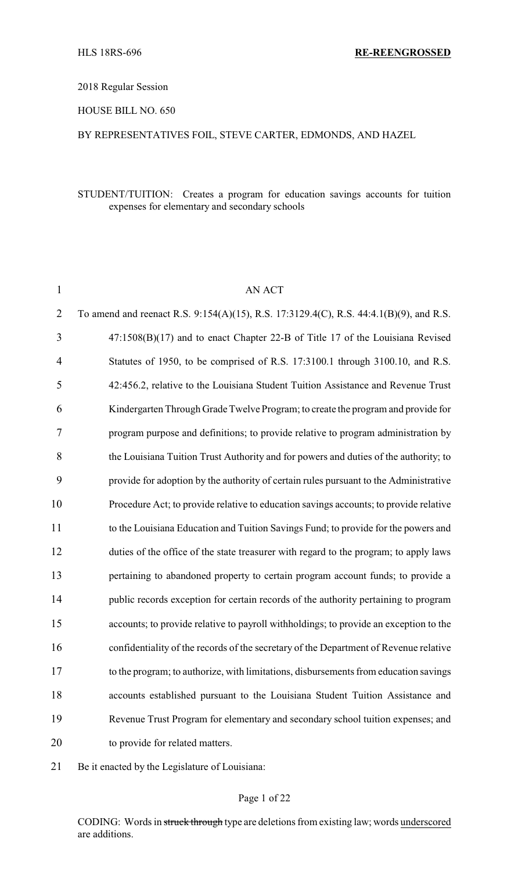#### 2018 Regular Session

# HOUSE BILL NO. 650

# BY REPRESENTATIVES FOIL, STEVE CARTER, EDMONDS, AND HAZEL

# STUDENT/TUITION: Creates a program for education savings accounts for tuition expenses for elementary and secondary schools

| $\mathbf{1}$   | AN ACT                                                                                 |
|----------------|----------------------------------------------------------------------------------------|
| $\overline{2}$ | To amend and reenact R.S. 9:154(A)(15), R.S. 17:3129.4(C), R.S. 44:4.1(B)(9), and R.S. |
| 3              | 47:1508(B)(17) and to enact Chapter 22-B of Title 17 of the Louisiana Revised          |
| 4              | Statutes of 1950, to be comprised of R.S. 17:3100.1 through 3100.10, and R.S.          |
| 5              | 42:456.2, relative to the Louisiana Student Tuition Assistance and Revenue Trust       |
| 6              | Kindergarten Through Grade Twelve Program; to create the program and provide for       |
| $\tau$         | program purpose and definitions; to provide relative to program administration by      |
| 8              | the Louisiana Tuition Trust Authority and for powers and duties of the authority; to   |
| 9              | provide for adoption by the authority of certain rules pursuant to the Administrative  |
| 10             | Procedure Act; to provide relative to education savings accounts; to provide relative  |
| 11             | to the Louisiana Education and Tuition Savings Fund; to provide for the powers and     |
| 12             | duties of the office of the state treasurer with regard to the program; to apply laws  |
| 13             | pertaining to abandoned property to certain program account funds; to provide a        |
| 14             | public records exception for certain records of the authority pertaining to program    |
| 15             | accounts; to provide relative to payroll withholdings; to provide an exception to the  |
| 16             | confidentiality of the records of the secretary of the Department of Revenue relative  |
| 17             | to the program; to authorize, with limitations, disbursements from education savings   |
| 18             | accounts established pursuant to the Louisiana Student Tuition Assistance and          |
| 19             | Revenue Trust Program for elementary and secondary school tuition expenses; and        |
| 20             | to provide for related matters.                                                        |

Be it enacted by the Legislature of Louisiana:

# Page 1 of 22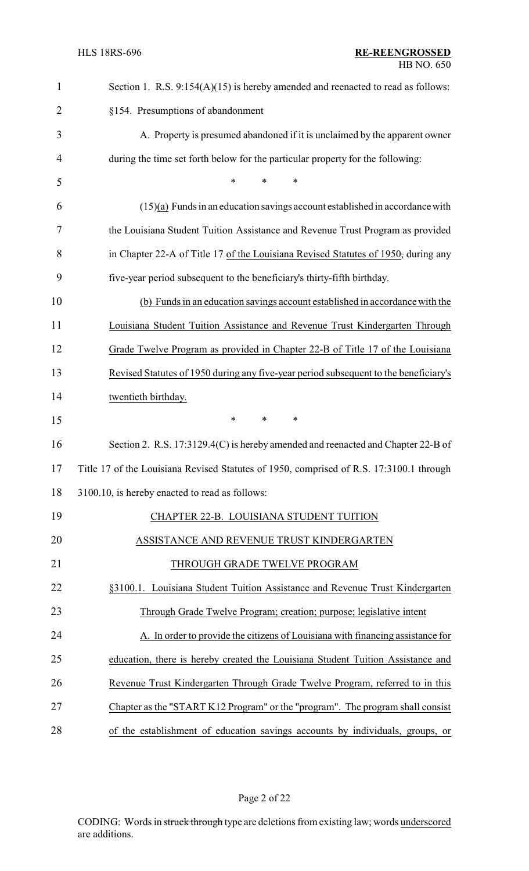| $\mathbf{1}$ | Section 1. R.S. $9:154(A)(15)$ is hereby amended and reenacted to read as follows:      |
|--------------|-----------------------------------------------------------------------------------------|
| 2            | §154. Presumptions of abandonment                                                       |
| 3            | A. Property is presumed abandoned if it is unclaimed by the apparent owner              |
| 4            | during the time set forth below for the particular property for the following:          |
| 5            | *                                                                                       |
| 6            | $(15)(a)$ Funds in an education savings account established in accordance with          |
| 7            | the Louisiana Student Tuition Assistance and Revenue Trust Program as provided          |
| 8            | in Chapter 22-A of Title 17 of the Louisiana Revised Statutes of 1950; during any       |
| 9            | five-year period subsequent to the beneficiary's thirty-fifth birthday.                 |
| 10           | (b) Funds in an education savings account established in accordance with the            |
| 11           | Louisiana Student Tuition Assistance and Revenue Trust Kindergarten Through             |
| 12           | Grade Twelve Program as provided in Chapter 22-B of Title 17 of the Louisiana           |
| 13           | Revised Statutes of 1950 during any five-year period subsequent to the beneficiary's    |
| 14           | twentieth birthday.                                                                     |
| 15           | $\ast$<br>$\ast$<br>∗                                                                   |
| 16           | Section 2. R.S. 17:3129.4(C) is hereby amended and reenacted and Chapter 22-B of        |
| 17           | Title 17 of the Louisiana Revised Statutes of 1950, comprised of R.S. 17:3100.1 through |
| 18           | 3100.10, is hereby enacted to read as follows:                                          |
| 19           | CHAPTER 22-B. LOUISIANA STUDENT TUITION                                                 |
| 20           | ASSISTANCE AND REVENUE TRUST KINDERGARTEN                                               |
| 21           | THROUGH GRADE TWELVE PROGRAM                                                            |
| 22           | §3100.1. Louisiana Student Tuition Assistance and Revenue Trust Kindergarten            |
| 23           | Through Grade Twelve Program; creation; purpose; legislative intent                     |
| 24           | A. In order to provide the citizens of Louisiana with financing assistance for          |
| 25           | education, there is hereby created the Louisiana Student Tuition Assistance and         |
| 26           | Revenue Trust Kindergarten Through Grade Twelve Program, referred to in this            |
| 27           | Chapter as the "START K12 Program" or the "program". The program shall consist          |
| 28           | of the establishment of education savings accounts by individuals, groups, or           |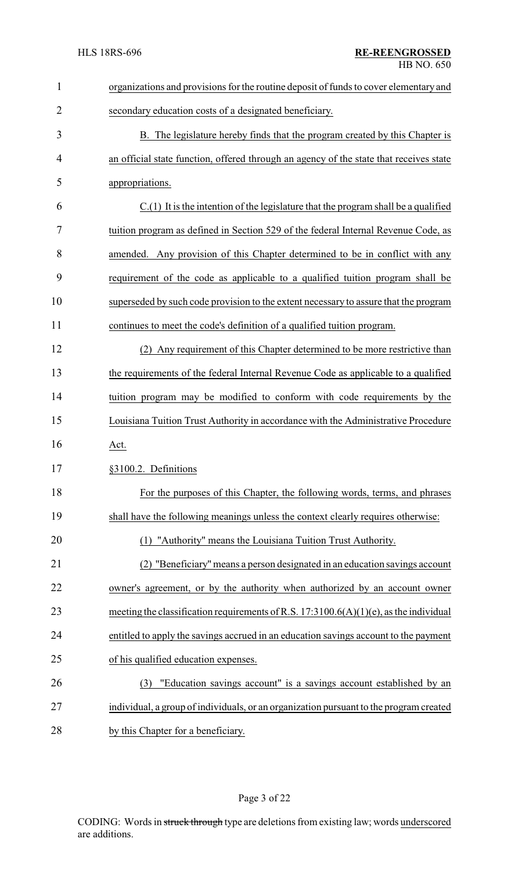| $\mathbf{1}$   | organizations and provisions for the routine deposit of funds to cover elementary and    |
|----------------|------------------------------------------------------------------------------------------|
| $\overline{2}$ | secondary education costs of a designated beneficiary.                                   |
| 3              | B. The legislature hereby finds that the program created by this Chapter is              |
| 4              | an official state function, offered through an agency of the state that receives state   |
| 5              | appropriations.                                                                          |
| 6              | $C(1)$ It is the intention of the legislature that the program shall be a qualified      |
| 7              | tuition program as defined in Section 529 of the federal Internal Revenue Code, as       |
| 8              | amended. Any provision of this Chapter determined to be in conflict with any             |
| 9              | requirement of the code as applicable to a qualified tuition program shall be            |
| 10             | superseded by such code provision to the extent necessary to assure that the program     |
| 11             | continues to meet the code's definition of a qualified tuition program.                  |
| 12             | Any requirement of this Chapter determined to be more restrictive than<br>(2)            |
| 13             | the requirements of the federal Internal Revenue Code as applicable to a qualified       |
| 14             | tuition program may be modified to conform with code requirements by the                 |
| 15             | Louisiana Tuition Trust Authority in accordance with the Administrative Procedure        |
| 16             | Act.                                                                                     |
| 17             | §3100.2. Definitions                                                                     |
| 18             | For the purposes of this Chapter, the following words, terms, and phrases                |
| 19             | shall have the following meanings unless the context clearly requires otherwise:         |
| 20             | (1) "Authority" means the Louisiana Tuition Trust Authority.                             |
| 21             | "Beneficiary" means a person designated in an education savings account                  |
| 22             | owner's agreement, or by the authority when authorized by an account owner               |
| 23             | meeting the classification requirements of R.S. $17:3100.6(A)(1)(e)$ , as the individual |
| 24             | entitled to apply the savings accrued in an education savings account to the payment     |
| 25             | of his qualified education expenses.                                                     |
| 26             | "Education savings account" is a savings account established by an<br>(3)                |
| 27             | individual, a group of individuals, or an organization pursuant to the program created   |
| 28             | by this Chapter for a beneficiary.                                                       |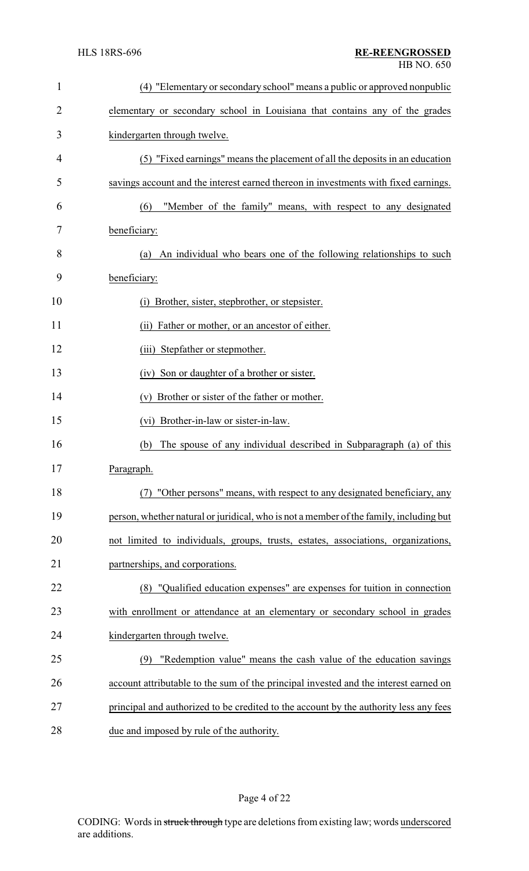| $\mathbf{1}$ | (4) "Elementary or secondary school" means a public or approved nonpublic              |
|--------------|----------------------------------------------------------------------------------------|
| 2            | elementary or secondary school in Louisiana that contains any of the grades            |
| 3            | kindergarten through twelve.                                                           |
| 4            | (5) "Fixed earnings" means the placement of all the deposits in an education           |
| 5            | savings account and the interest earned thereon in investments with fixed earnings.    |
| 6            | "Member of the family" means, with respect to any designated<br>(6)                    |
| 7            | beneficiary:                                                                           |
| 8            | (a) An individual who bears one of the following relationships to such                 |
| 9            | beneficiary:                                                                           |
| 10           | (i) Brother, sister, stepbrother, or stepsister.                                       |
| 11           | (ii) Father or mother, or an ancestor of either.                                       |
| 12           | (iii) Stepfather or stepmother.                                                        |
| 13           | (iv) Son or daughter of a brother or sister.                                           |
| 14           | Brother or sister of the father or mother.<br>(v)                                      |
| 15           | (vi) Brother-in-law or sister-in-law.                                                  |
| 16           | The spouse of any individual described in Subparagraph (a) of this<br>(b)              |
| 17           | Paragraph.                                                                             |
| 18           | "Other persons" means, with respect to any designated beneficiary, any                 |
| 19           | person, whether natural or juridical, who is not a member of the family, including but |
| 20           | not limited to individuals, groups, trusts, estates, associations, organizations,      |
| 21           | partnerships, and corporations.                                                        |
| 22           | (8) "Qualified education expenses" are expenses for tuition in connection              |
| 23           | with enrollment or attendance at an elementary or secondary school in grades           |
| 24           | kindergarten through twelve.                                                           |
| 25           | "Redemption value" means the cash value of the education savings<br>(9)                |
| 26           | account attributable to the sum of the principal invested and the interest earned on   |
| 27           | principal and authorized to be credited to the account by the authority less any fees  |
| 28           | due and imposed by rule of the authority.                                              |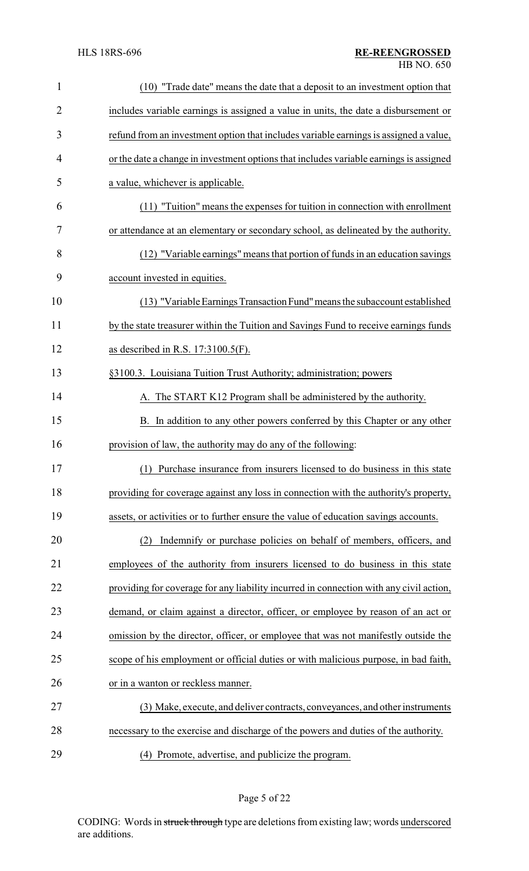| $\mathbf{1}$   | (10) "Trade date" means the date that a deposit to an investment option that           |
|----------------|----------------------------------------------------------------------------------------|
| $\overline{2}$ | includes variable earnings is assigned a value in units, the date a disbursement or    |
| 3              | refund from an investment option that includes variable earnings is assigned a value,  |
| 4              | or the date a change in investment options that includes variable earnings is assigned |
| 5              | a value, whichever is applicable.                                                      |
| 6              | (11) "Tuition" means the expenses for tuition in connection with enrollment            |
| 7              | or attendance at an elementary or secondary school, as delineated by the authority.    |
| 8              | (12) "Variable earnings" means that portion of funds in an education savings           |
| 9              | account invested in equities.                                                          |
| 10             | (13) "Variable Earnings Transaction Fund" means the subaccount established             |
| 11             | by the state treasurer within the Tuition and Savings Fund to receive earnings funds   |
| 12             | as described in R.S. 17:3100.5(F).                                                     |
| 13             | §3100.3. Louisiana Tuition Trust Authority; administration; powers                     |
| 14             | A. The START K12 Program shall be administered by the authority.                       |
| 15             | B. In addition to any other powers conferred by this Chapter or any other              |
| 16             | provision of law, the authority may do any of the following:                           |
| 17             | (1) Purchase insurance from insurers licensed to do business in this state             |
| 18             | providing for coverage against any loss in connection with the authority's property,   |
| 19             | assets, or activities or to further ensure the value of education savings accounts.    |
| 20             | Indemnify or purchase policies on behalf of members, officers, and<br>(2)              |
| 21             | employees of the authority from insurers licensed to do business in this state         |
| 22             | providing for coverage for any liability incurred in connection with any civil action, |
| 23             | demand, or claim against a director, officer, or employee by reason of an act or       |
| 24             | omission by the director, officer, or employee that was not manifestly outside the     |
| 25             | scope of his employment or official duties or with malicious purpose, in bad faith,    |
| 26             | or in a wanton or reckless manner.                                                     |
| 27             | (3) Make, execute, and deliver contracts, conveyances, and other instruments           |
| 28             | necessary to the exercise and discharge of the powers and duties of the authority.     |
| 29             | (4) Promote, advertise, and publicize the program.                                     |

Page 5 of 22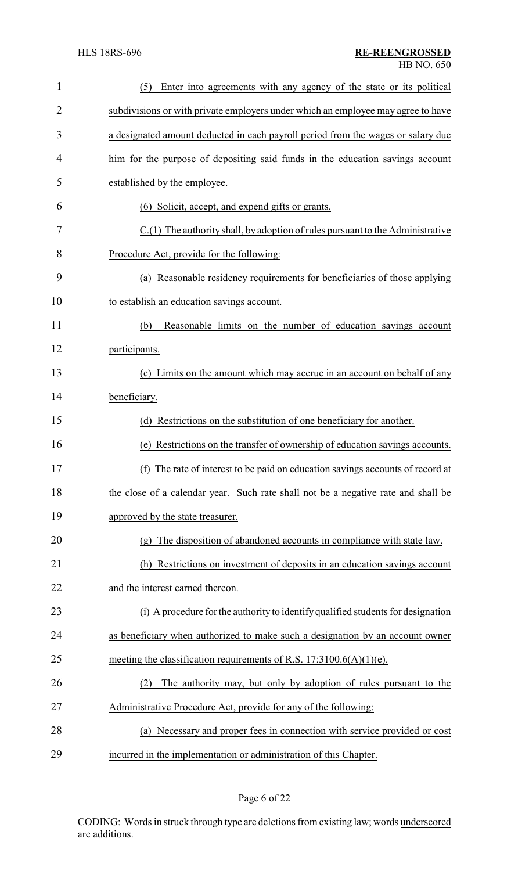| 1              | Enter into agreements with any agency of the state or its political<br>(5)                      |
|----------------|-------------------------------------------------------------------------------------------------|
| $\overline{2}$ | subdivisions or with private employers under which an employee may agree to have                |
| 3              | a designated amount deducted in each payroll period from the wages or salary due                |
| 4              | him for the purpose of depositing said funds in the education savings account                   |
| 5              | established by the employee.                                                                    |
| 6              | (6) Solicit, accept, and expend gifts or grants.                                                |
| 7              | C.(1) The authority shall, by adoption of rules pursuant to the Administrative                  |
| 8              | Procedure Act, provide for the following:                                                       |
| 9              | (a) Reasonable residency requirements for beneficiaries of those applying                       |
| 10             | to establish an education savings account.                                                      |
| 11             | Reasonable limits on the number of education savings account<br>(b)                             |
| 12             | participants.                                                                                   |
| 13             | (c) Limits on the amount which may accrue in an account on behalf of any                        |
| 14             | beneficiary.                                                                                    |
| 15             | (d) Restrictions on the substitution of one beneficiary for another.                            |
| 16             | (e) Restrictions on the transfer of ownership of education savings accounts.                    |
| 17             | (f) The rate of interest to be paid on education savings accounts of record at                  |
| 18             | the close of a calendar year. Such rate shall not be a negative rate and shall be               |
| 19             | approved by the state treasurer.                                                                |
| 20             | The disposition of abandoned accounts in compliance with state law.<br>$\left( \varrho \right)$ |
| 21             | Restrictions on investment of deposits in an education savings account<br>(h)                   |
| 22             | and the interest earned thereon.                                                                |
| 23             | (i) A procedure for the authority to identify qualified students for designation                |
| 24             | as beneficiary when authorized to make such a designation by an account owner                   |
| 25             | meeting the classification requirements of R.S. $17:3100.6(A)(1)(e)$ .                          |
| 26             | The authority may, but only by adoption of rules pursuant to the<br>(2)                         |
| 27             | Administrative Procedure Act, provide for any of the following:                                 |
| 28             | (a) Necessary and proper fees in connection with service provided or cost                       |
| 29             | incurred in the implementation or administration of this Chapter.                               |

Page 6 of 22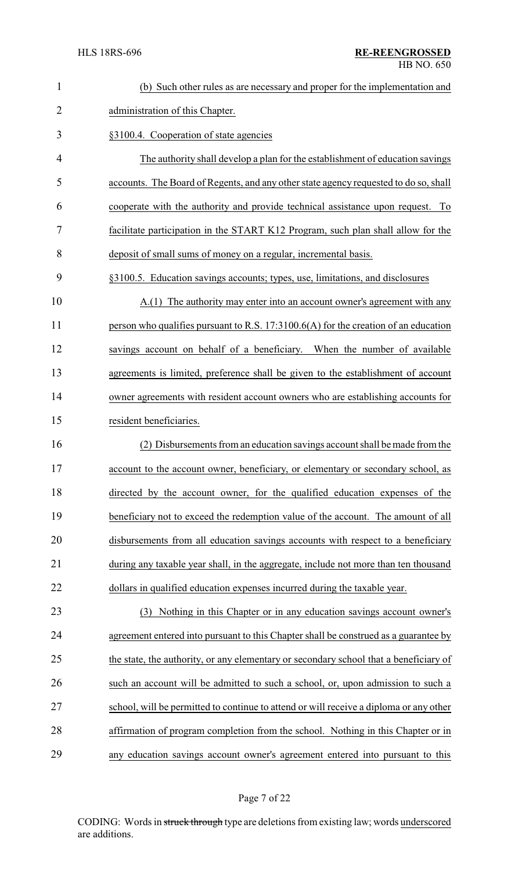| $\mathbf{1}$   | (b) Such other rules as are necessary and proper for the implementation and            |
|----------------|----------------------------------------------------------------------------------------|
| $\overline{2}$ | administration of this Chapter.                                                        |
| 3              | §3100.4. Cooperation of state agencies                                                 |
| 4              | The authority shall develop a plan for the establishment of education savings          |
| 5              | accounts. The Board of Regents, and any other state agency requested to do so, shall   |
| 6              | cooperate with the authority and provide technical assistance upon request.<br>To      |
| 7              | facilitate participation in the START K12 Program, such plan shall allow for the       |
| 8              | deposit of small sums of money on a regular, incremental basis.                        |
| 9              | §3100.5. Education savings accounts; types, use, limitations, and disclosures          |
| 10             | A.(1) The authority may enter into an account owner's agreement with any               |
| 11             | person who qualifies pursuant to R.S. 17:3100.6(A) for the creation of an education    |
| 12             | savings account on behalf of a beneficiary. When the number of available               |
| 13             | agreements is limited, preference shall be given to the establishment of account       |
| 14             | owner agreements with resident account owners who are establishing accounts for        |
| 15             | resident beneficiaries.                                                                |
| 16             | (2) Disbursements from an education savings account shall be made from the             |
| 17             | account to the account owner, beneficiary, or elementary or secondary school, as       |
| 18             | directed by the account owner, for the qualified education expenses of the             |
| 19             | beneficiary not to exceed the redemption value of the account. The amount of all       |
| 20             | disbursements from all education savings accounts with respect to a beneficiary        |
| 21             | during any taxable year shall, in the aggregate, include not more than ten thousand    |
| 22             | dollars in qualified education expenses incurred during the taxable year.              |
| 23             | (3) Nothing in this Chapter or in any education savings account owner's                |
| 24             | agreement entered into pursuant to this Chapter shall be construed as a guarantee by   |
| 25             | the state, the authority, or any elementary or secondary school that a beneficiary of  |
| 26             | such an account will be admitted to such a school, or, upon admission to such a        |
| 27             | school, will be permitted to continue to attend or will receive a diploma or any other |
| 28             | affirmation of program completion from the school. Nothing in this Chapter or in       |
| 29             | any education savings account owner's agreement entered into pursuant to this          |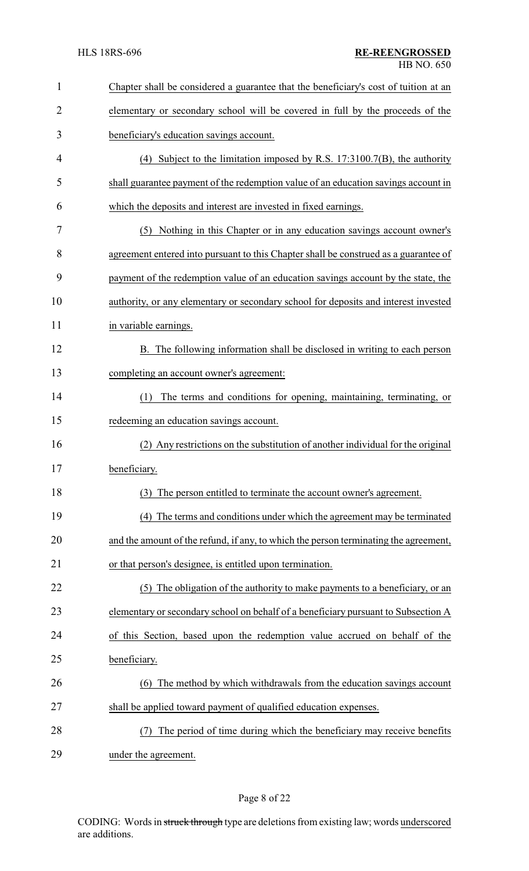| 1              | Chapter shall be considered a guarantee that the beneficiary's cost of tuition at an |
|----------------|--------------------------------------------------------------------------------------|
| $\overline{2}$ | elementary or secondary school will be covered in full by the proceeds of the        |
| 3              | beneficiary's education savings account.                                             |
| 4              | (4) Subject to the limitation imposed by R.S. $17:3100.7(B)$ , the authority         |
| 5              | shall guarantee payment of the redemption value of an education savings account in   |
| 6              | which the deposits and interest are invested in fixed earnings.                      |
| 7              | (5) Nothing in this Chapter or in any education savings account owner's              |
| 8              | agreement entered into pursuant to this Chapter shall be construed as a guarantee of |
| 9              | payment of the redemption value of an education savings account by the state, the    |
| 10             | authority, or any elementary or secondary school for deposits and interest invested  |
| 11             | in variable earnings.                                                                |
| 12             | B. The following information shall be disclosed in writing to each person            |
| 13             | completing an account owner's agreement:                                             |
| 14             | The terms and conditions for opening, maintaining, terminating, or<br>(1)            |
| 15             | redeeming an education savings account.                                              |
| 16             | (2) Any restrictions on the substitution of another individual for the original      |
| 17             | beneficiary.                                                                         |
| 18             | (3) The person entitled to terminate the account owner's agreement.                  |
| 19             | (4) The terms and conditions under which the agreement may be terminated             |
| 20             | and the amount of the refund, if any, to which the person terminating the agreement, |
| 21             | or that person's designee, is entitled upon termination.                             |
| 22             | (5) The obligation of the authority to make payments to a beneficiary, or an         |
| 23             | elementary or secondary school on behalf of a beneficiary pursuant to Subsection A   |
| 24             | of this Section, based upon the redemption value accrued on behalf of the            |
| 25             | beneficiary.                                                                         |
| 26             | (6) The method by which withdrawals from the education savings account               |
| 27             | shall be applied toward payment of qualified education expenses.                     |
| 28             | The period of time during which the beneficiary may receive benefits                 |
| 29             | under the agreement.                                                                 |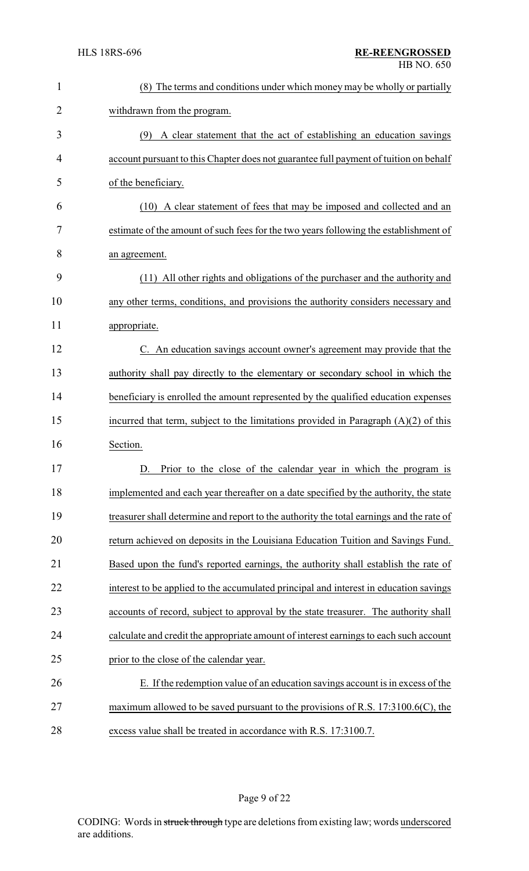| 1              | (8) The terms and conditions under which money may be wholly or partially                |
|----------------|------------------------------------------------------------------------------------------|
| $\overline{2}$ | withdrawn from the program.                                                              |
| 3              | (9) A clear statement that the act of establishing an education savings                  |
| 4              | account pursuant to this Chapter does not guarantee full payment of tuition on behalf    |
| 5              | of the beneficiary.                                                                      |
| 6              | (10) A clear statement of fees that may be imposed and collected and an                  |
| 7              | estimate of the amount of such fees for the two years following the establishment of     |
| 8              | an agreement.                                                                            |
| 9              | (11) All other rights and obligations of the purchaser and the authority and             |
| 10             | any other terms, conditions, and provisions the authority considers necessary and        |
| 11             | appropriate.                                                                             |
| 12             | C. An education savings account owner's agreement may provide that the                   |
| 13             | authority shall pay directly to the elementary or secondary school in which the          |
| 14             | beneficiary is enrolled the amount represented by the qualified education expenses       |
| 15             | incurred that term, subject to the limitations provided in Paragraph $(A)(2)$ of this    |
| 16             | Section.                                                                                 |
| 17             | Prior to the close of the calendar year in which the program is<br>D.                    |
| 18             | implemented and each year thereafter on a date specified by the authority, the state     |
| 19             | treasurer shall determine and report to the authority the total earnings and the rate of |
| 20             | return achieved on deposits in the Louisiana Education Tuition and Savings Fund.         |
| 21             | Based upon the fund's reported earnings, the authority shall establish the rate of       |
| 22             | interest to be applied to the accumulated principal and interest in education savings    |
| 23             | accounts of record, subject to approval by the state treasurer. The authority shall      |
| 24             | calculate and credit the appropriate amount of interest earnings to each such account    |
| 25             | prior to the close of the calendar year.                                                 |
| 26             | E. If the redemption value of an education savings account is in excess of the           |
| 27             | maximum allowed to be saved pursuant to the provisions of R.S. $17:3100.6(C)$ , the      |
| 28             | excess value shall be treated in accordance with R.S. 17:3100.7.                         |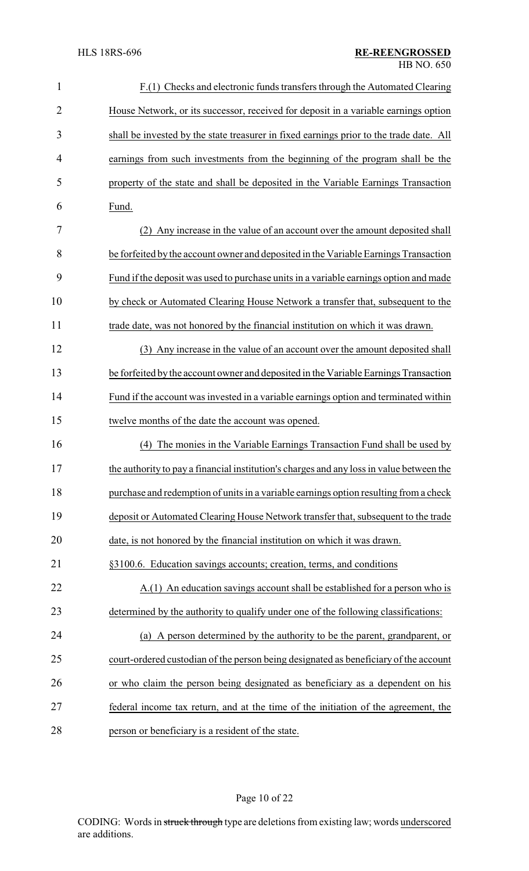| $\mathbf{1}$   | F.(1) Checks and electronic funds transfers through the Automated Clearing               |
|----------------|------------------------------------------------------------------------------------------|
| $\overline{2}$ | House Network, or its successor, received for deposit in a variable earnings option      |
| 3              | shall be invested by the state treasurer in fixed earnings prior to the trade date. All  |
| 4              | earnings from such investments from the beginning of the program shall be the            |
| 5              | property of the state and shall be deposited in the Variable Earnings Transaction        |
| 6              | Fund.                                                                                    |
| 7              | (2) Any increase in the value of an account over the amount deposited shall              |
| 8              | be forfeited by the account owner and deposited in the Variable Earnings Transaction     |
| 9              | Fund if the deposit was used to purchase units in a variable earnings option and made    |
| 10             | by check or Automated Clearing House Network a transfer that, subsequent to the          |
| 11             | trade date, was not honored by the financial institution on which it was drawn.          |
| 12             | (3) Any increase in the value of an account over the amount deposited shall              |
| 13             | be forfeited by the account owner and deposited in the Variable Earnings Transaction     |
| 14             | Fund if the account was invested in a variable earnings option and terminated within     |
| 15             | twelve months of the date the account was opened.                                        |
| 16             | (4) The monies in the Variable Earnings Transaction Fund shall be used by                |
| 17             | the authority to pay a financial institution's charges and any loss in value between the |
| 18             | purchase and redemption of units in a variable earnings option resulting from a check    |
| 19             | deposit or Automated Clearing House Network transfer that, subsequent to the trade       |
| 20             | date, is not honored by the financial institution on which it was drawn.                 |
| 21             | §3100.6. Education savings accounts; creation, terms, and conditions                     |
| 22             | A.(1) An education savings account shall be established for a person who is              |
| 23             | determined by the authority to qualify under one of the following classifications:       |
| 24             | A person determined by the authority to be the parent, grandparent, or<br>(a)            |
| 25             | court-ordered custodian of the person being designated as beneficiary of the account     |
| 26             | or who claim the person being designated as beneficiary as a dependent on his            |
| 27             | federal income tax return, and at the time of the initiation of the agreement, the       |
| 28             | person or beneficiary is a resident of the state.                                        |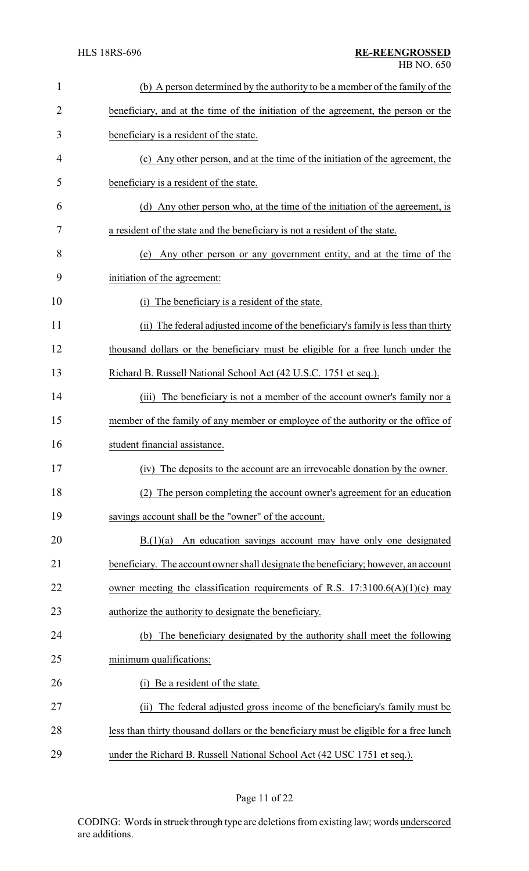| $\mathbf{1}$   | (b) A person determined by the authority to be a member of the family of the           |
|----------------|----------------------------------------------------------------------------------------|
| $\overline{2}$ | beneficiary, and at the time of the initiation of the agreement, the person or the     |
| 3              | beneficiary is a resident of the state.                                                |
| 4              | (c) Any other person, and at the time of the initiation of the agreement, the          |
| 5              | beneficiary is a resident of the state.                                                |
| 6              | (d) Any other person who, at the time of the initiation of the agreement, is           |
| 7              | a resident of the state and the beneficiary is not a resident of the state.            |
| 8              | Any other person or any government entity, and at the time of the<br>(e)               |
| 9              | initiation of the agreement:                                                           |
| 10             | The beneficiary is a resident of the state.<br>(i)                                     |
| 11             | (ii) The federal adjusted income of the beneficiary's family is less than thirty       |
| 12             | thousand dollars or the beneficiary must be eligible for a free lunch under the        |
| 13             | Richard B. Russell National School Act (42 U.S.C. 1751 et seq.).                       |
| 14             | The beneficiary is not a member of the account owner's family nor a<br>(iii)           |
| 15             | member of the family of any member or employee of the authority or the office of       |
| 16             | student financial assistance.                                                          |
| 17             | (iv) The deposits to the account are an irrevocable donation by the owner.             |
| 18             | (2) The person completing the account owner's agreement for an education               |
| 19             | savings account shall be the "owner" of the account.                                   |
| 20             | $B(1)(a)$ An education savings account may have only one designated                    |
| 21             | beneficiary. The account owner shall designate the beneficiary; however, an account    |
| 22             | owner meeting the classification requirements of R.S. $17:3100.6(A)(1)(e)$ may         |
| 23             | authorize the authority to designate the beneficiary.                                  |
| 24             | The beneficiary designated by the authority shall meet the following<br>(b)            |
| 25             | minimum qualifications:                                                                |
| 26             | Be a resident of the state.<br>(i)                                                     |
| 27             | The federal adjusted gross income of the beneficiary's family must be<br>(ii)          |
| 28             | less than thirty thousand dollars or the beneficiary must be eligible for a free lunch |
| 29             | under the Richard B. Russell National School Act (42 USC 1751 et seq.).                |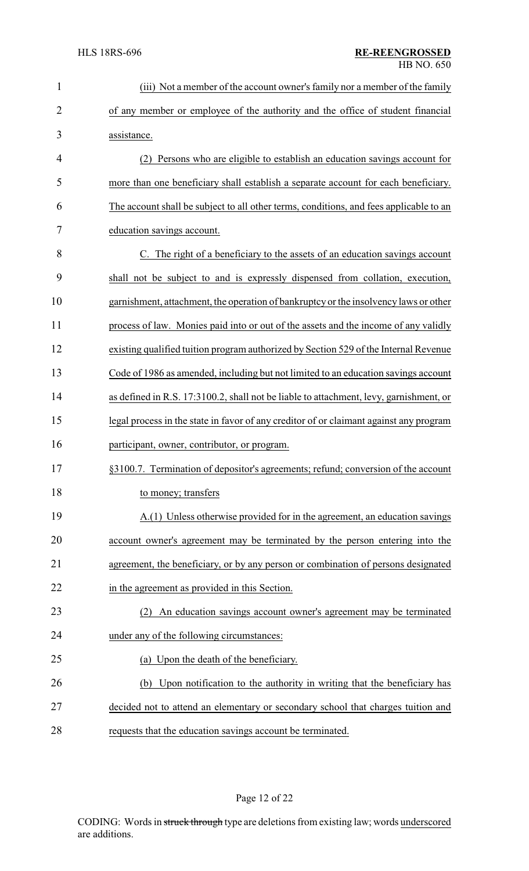| $\mathbf{1}$   | (iii) Not a member of the account owner's family nor a member of the family            |
|----------------|----------------------------------------------------------------------------------------|
| $\overline{2}$ | of any member or employee of the authority and the office of student financial         |
| 3              | assistance.                                                                            |
| 4              | Persons who are eligible to establish an education savings account for                 |
| 5              | more than one beneficiary shall establish a separate account for each beneficiary.     |
| 6              | The account shall be subject to all other terms, conditions, and fees applicable to an |
| 7              | education savings account.                                                             |
| 8              | C. The right of a beneficiary to the assets of an education savings account            |
| 9              | shall not be subject to and is expressly dispensed from collation, execution,          |
| 10             | garnishment, attachment, the operation of bankruptcy or the insolvency laws or other   |
| 11             | process of law. Monies paid into or out of the assets and the income of any validly    |
| 12             | existing qualified tuition program authorized by Section 529 of the Internal Revenue   |
| 13             | Code of 1986 as amended, including but not limited to an education savings account     |
| 14             | as defined in R.S. 17:3100.2, shall not be liable to attachment, levy, garnishment, or |
| 15             | legal process in the state in favor of any creditor of or claimant against any program |
| 16             | participant, owner, contributor, or program.                                           |
| 17             | §3100.7. Termination of depositor's agreements; refund; conversion of the account      |
| 18             | to money; transfers                                                                    |
| 19             | A.(1) Unless otherwise provided for in the agreement, an education savings             |
| 20             | account owner's agreement may be terminated by the person entering into the            |
| 21             | agreement, the beneficiary, or by any person or combination of persons designated      |
| 22             | in the agreement as provided in this Section.                                          |
| 23             | (2) An education savings account owner's agreement may be terminated                   |
| 24             | under any of the following circumstances:                                              |
| 25             | (a) Upon the death of the beneficiary.                                                 |
| 26             | (b) Upon notification to the authority in writing that the beneficiary has             |
| 27             | decided not to attend an elementary or secondary school that charges tuition and       |
| 28             | requests that the education savings account be terminated.                             |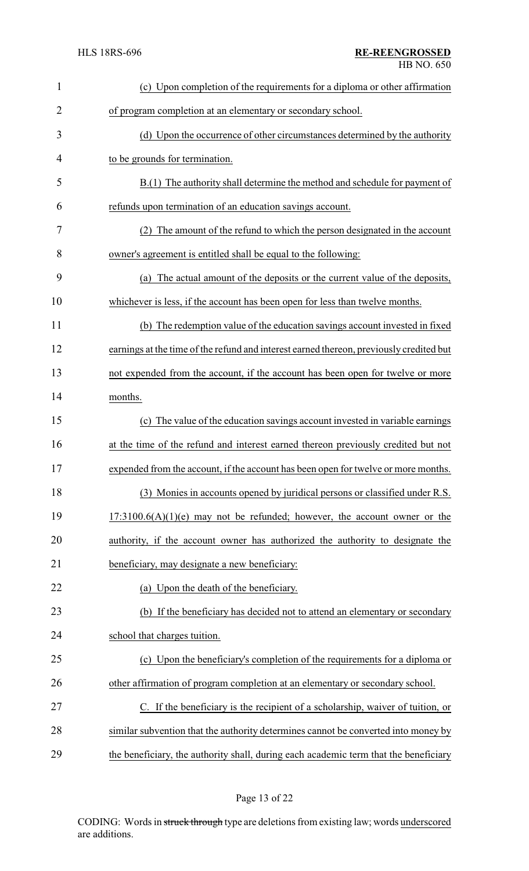| $\mathbf{1}$ | (c) Upon completion of the requirements for a diploma or other affirmation              |
|--------------|-----------------------------------------------------------------------------------------|
| 2            | of program completion at an elementary or secondary school.                             |
| 3            | (d) Upon the occurrence of other circumstances determined by the authority              |
| 4            | to be grounds for termination.                                                          |
| 5            | B.(1) The authority shall determine the method and schedule for payment of              |
| 6            | refunds upon termination of an education savings account.                               |
| 7            | (2) The amount of the refund to which the person designated in the account              |
| 8            | owner's agreement is entitled shall be equal to the following:                          |
| 9            | (a) The actual amount of the deposits or the current value of the deposits,             |
| 10           | whichever is less, if the account has been open for less than twelve months.            |
| 11           | (b) The redemption value of the education savings account invested in fixed             |
| 12           | earnings at the time of the refund and interest earned thereon, previously credited but |
| 13           | not expended from the account, if the account has been open for twelve or more          |
| 14           | months.                                                                                 |
| 15           | (c) The value of the education savings account invested in variable earnings            |
| 16           | at the time of the refund and interest earned thereon previously credited but not       |
| 17           | expended from the account, if the account has been open for twelve or more months       |
| 18           | (3) Monies in accounts opened by juridical persons or classified under R.S.             |
| 19           | $17:3100.6(A)(1)(e)$ may not be refunded; however, the account owner or the             |
| 20           | authority, if the account owner has authorized the authority to designate the           |
| 21           | beneficiary, may designate a new beneficiary:                                           |
| 22           | (a) Upon the death of the beneficiary.                                                  |
| 23           | (b) If the beneficiary has decided not to attend an elementary or secondary             |
| 24           | school that charges tuition.                                                            |
| 25           | (c) Upon the beneficiary's completion of the requirements for a diploma or              |
| 26           | other affirmation of program completion at an elementary or secondary school.           |
| 27           | C. If the beneficiary is the recipient of a scholarship, waiver of tuition, or          |
| 28           | similar subvention that the authority determines cannot be converted into money by      |
| 29           | the beneficiary, the authority shall, during each academic term that the beneficiary    |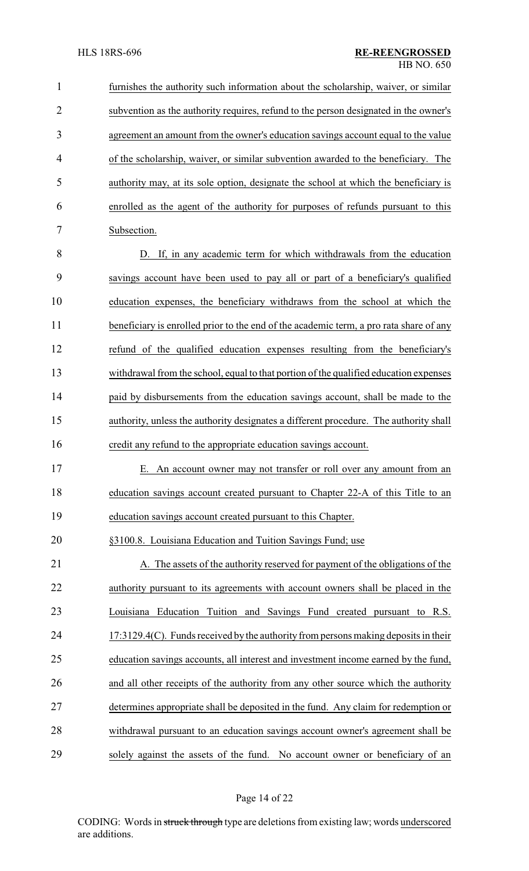furnishes the authority such information about the scholarship, waiver, or similar subvention as the authority requires, refund to the person designated in the owner's agreement an amount from the owner's education savings account equal to the value of the scholarship, waiver, or similar subvention awarded to the beneficiary. The authority may, at its sole option, designate the school at which the beneficiary is enrolled as the agent of the authority for purposes of refunds pursuant to this Subsection. D. If, in any academic term for which withdrawals from the education savings account have been used to pay all or part of a beneficiary's qualified education expenses, the beneficiary withdraws from the school at which the 11 beneficiary is enrolled prior to the end of the academic term, a pro rata share of any refund of the qualified education expenses resulting from the beneficiary's withdrawal from the school, equal to that portion of the qualified education expenses 14 paid by disbursements from the education savings account, shall be made to the

 authority, unless the authority designates a different procedure. The authority shall credit any refund to the appropriate education savings account.

 E. An account owner may not transfer or roll over any amount from an education savings account created pursuant to Chapter 22-A of this Title to an education savings account created pursuant to this Chapter.

§3100.8. Louisiana Education and Tuition Savings Fund; use

21 A. The assets of the authority reserved for payment of the obligations of the authority pursuant to its agreements with account owners shall be placed in the Louisiana Education Tuition and Savings Fund created pursuant to R.S. 17:3129.4(C). Funds received bythe authorityfrom persons making deposits in their education savings accounts, all interest and investment income earned by the fund, and all other receipts of the authority from any other source which the authority determines appropriate shall be deposited in the fund. Any claim for redemption or withdrawal pursuant to an education savings account owner's agreement shall be solely against the assets of the fund. No account owner or beneficiary of an

Page 14 of 22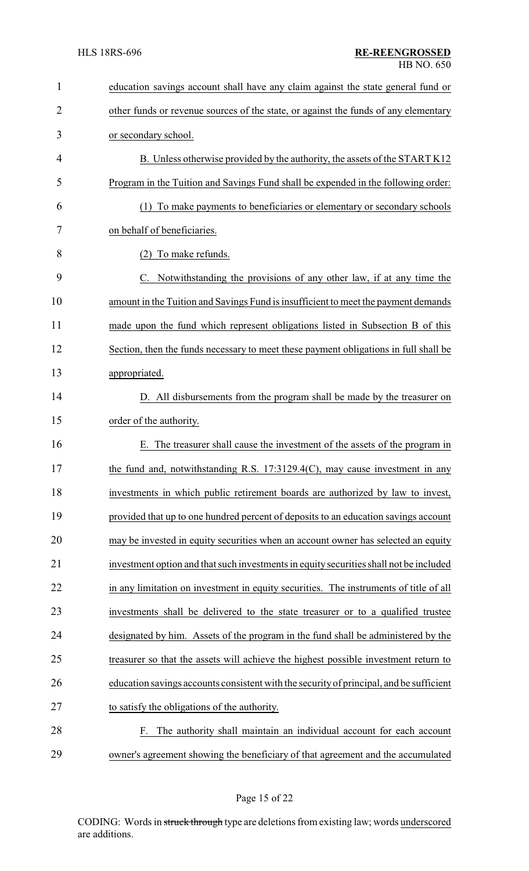| $\mathbf{1}$   | education savings account shall have any claim against the state general fund or        |
|----------------|-----------------------------------------------------------------------------------------|
| $\overline{2}$ | other funds or revenue sources of the state, or against the funds of any elementary     |
| 3              | or secondary school.                                                                    |
| 4              | B. Unless otherwise provided by the authority, the assets of the START K12              |
| 5              | Program in the Tuition and Savings Fund shall be expended in the following order:       |
| 6              | (1) To make payments to beneficiaries or elementary or secondary schools                |
| 7              | on behalf of beneficiaries.                                                             |
| 8              | (2) To make refunds.                                                                    |
| 9              | C. Notwithstanding the provisions of any other law, if at any time the                  |
| 10             | amount in the Tuition and Savings Fund is insufficient to meet the payment demands      |
| 11             | made upon the fund which represent obligations listed in Subsection B of this           |
| 12             | Section, then the funds necessary to meet these payment obligations in full shall be    |
| 13             | appropriated.                                                                           |
| 14             | D. All disbursements from the program shall be made by the treasurer on                 |
| 15             | order of the authority.                                                                 |
| 16             | The treasurer shall cause the investment of the assets of the program in<br>Е.          |
| 17             | the fund and, notwithstanding R.S. 17:3129.4(C), may cause investment in any            |
| 18             | investments in which public retirement boards are authorized by law to invest,          |
| 19             | provided that up to one hundred percent of deposits to an education savings account     |
| 20             | may be invested in equity securities when an account owner has selected an equity       |
| 21             | investment option and that such investments in equity securities shall not be included  |
| 22             | in any limitation on investment in equity securities. The instruments of title of all   |
| 23             | investments shall be delivered to the state treasurer or to a qualified trustee         |
| 24             | designated by him. Assets of the program in the fund shall be administered by the       |
| 25             | treasurer so that the assets will achieve the highest possible investment return to     |
| 26             | education savings accounts consistent with the security of principal, and be sufficient |
| 27             | to satisfy the obligations of the authority.                                            |
| 28             | F. The authority shall maintain an individual account for each account                  |
| 29             | owner's agreement showing the beneficiary of that agreement and the accumulated         |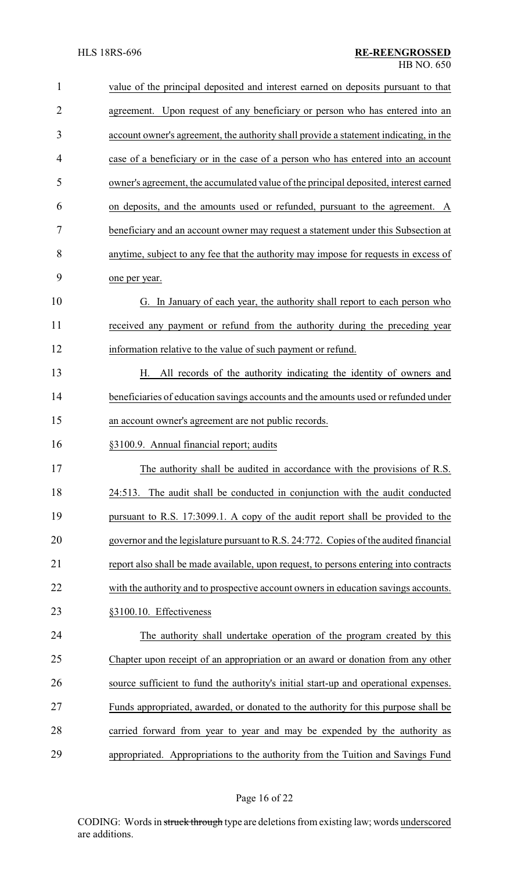| $\mathbf{1}$   | value of the principal deposited and interest earned on deposits pursuant to that     |
|----------------|---------------------------------------------------------------------------------------|
| $\overline{2}$ | agreement. Upon request of any beneficiary or person who has entered into an          |
| 3              | account owner's agreement, the authority shall provide a statement indicating, in the |
| 4              | case of a beneficiary or in the case of a person who has entered into an account      |
| 5              | owner's agreement, the accumulated value of the principal deposited, interest earned  |
| 6              | on deposits, and the amounts used or refunded, pursuant to the agreement. A           |
| 7              | beneficiary and an account owner may request a statement under this Subsection at     |
| 8              | anytime, subject to any fee that the authority may impose for requests in excess of   |
| 9              | one per year.                                                                         |
| 10             | G. In January of each year, the authority shall report to each person who             |
| 11             | received any payment or refund from the authority during the preceding year           |
| 12             | information relative to the value of such payment or refund.                          |
| 13             | H. All records of the authority indicating the identity of owners and                 |
| 14             | beneficiaries of education savings accounts and the amounts used or refunded under    |
| 15             | an account owner's agreement are not public records.                                  |
| 16             | §3100.9. Annual financial report; audits                                              |
| 17             | The authority shall be audited in accordance with the provisions of R.S.              |
| 18             | The audit shall be conducted in conjunction with the audit conducted<br>24:513.       |
| 19             | pursuant to R.S. 17:3099.1. A copy of the audit report shall be provided to the       |
| 20             | governor and the legislature pursuant to R.S. 24:772. Copies of the audited financial |
| 21             | report also shall be made available, upon request, to persons entering into contracts |
| 22             | with the authority and to prospective account owners in education savings accounts.   |
| 23             | §3100.10. Effectiveness                                                               |
| 24             | The authority shall undertake operation of the program created by this                |
| 25             | Chapter upon receipt of an appropriation or an award or donation from any other       |
| 26             | source sufficient to fund the authority's initial start-up and operational expenses.  |
| 27             | Funds appropriated, awarded, or donated to the authority for this purpose shall be    |
| 28             | carried forward from year to year and may be expended by the authority as             |
| 29             | appropriated. Appropriations to the authority from the Tuition and Savings Fund       |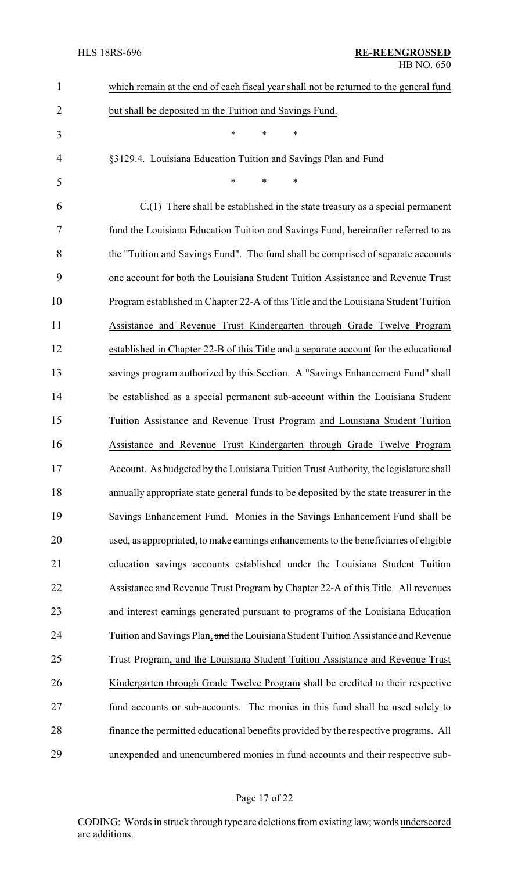| $\mathbf{1}$   | which remain at the end of each fiscal year shall not be returned to the general fund  |
|----------------|----------------------------------------------------------------------------------------|
| $\overline{2}$ | but shall be deposited in the Tuition and Savings Fund.                                |
| 3              | $\ast$<br>*<br>*                                                                       |
| $\overline{4}$ | §3129.4. Louisiana Education Tuition and Savings Plan and Fund                         |
| 5              | $\ast$<br>$\ast$<br>*                                                                  |
| 6              | $C(1)$ There shall be established in the state treasury as a special permanent         |
| 7              | fund the Louisiana Education Tuition and Savings Fund, hereinafter referred to as      |
| 8              | the "Tuition and Savings Fund". The fund shall be comprised of separate accounts       |
| 9              | one account for both the Louisiana Student Tuition Assistance and Revenue Trust        |
| 10             | Program established in Chapter 22-A of this Title and the Louisiana Student Tuition    |
| 11             | Assistance and Revenue Trust Kindergarten through Grade Twelve Program                 |
| 12             | established in Chapter 22-B of this Title and a separate account for the educational   |
| 13             | savings program authorized by this Section. A "Savings Enhancement Fund" shall         |
| 14             | be established as a special permanent sub-account within the Louisiana Student         |
| 15             | Tuition Assistance and Revenue Trust Program and Louisiana Student Tuition             |
| 16             | Assistance and Revenue Trust Kindergarten through Grade Twelve Program                 |
| 17             | Account. As budgeted by the Louisiana Tuition Trust Authority, the legislature shall   |
| 18             | annually appropriate state general funds to be deposited by the state treasurer in the |
| 19             | Savings Enhancement Fund. Monies in the Savings Enhancement Fund shall be              |
| 20             | used, as appropriated, to make earnings enhancements to the beneficiaries of eligible  |
| 21             | education savings accounts established under the Louisiana Student Tuition             |
| 22             | Assistance and Revenue Trust Program by Chapter 22-A of this Title. All revenues       |
| 23             | and interest earnings generated pursuant to programs of the Louisiana Education        |
| 24             | Tuition and Savings Plan, and the Louisiana Student Tuition Assistance and Revenue     |
| 25             | Trust Program, and the Louisiana Student Tuition Assistance and Revenue Trust          |
| 26             | Kindergarten through Grade Twelve Program shall be credited to their respective        |
| 27             | fund accounts or sub-accounts. The monies in this fund shall be used solely to         |
| 28             | finance the permitted educational benefits provided by the respective programs. All    |
| 29             | unexpended and unencumbered monies in fund accounts and their respective sub-          |

# Page 17 of 22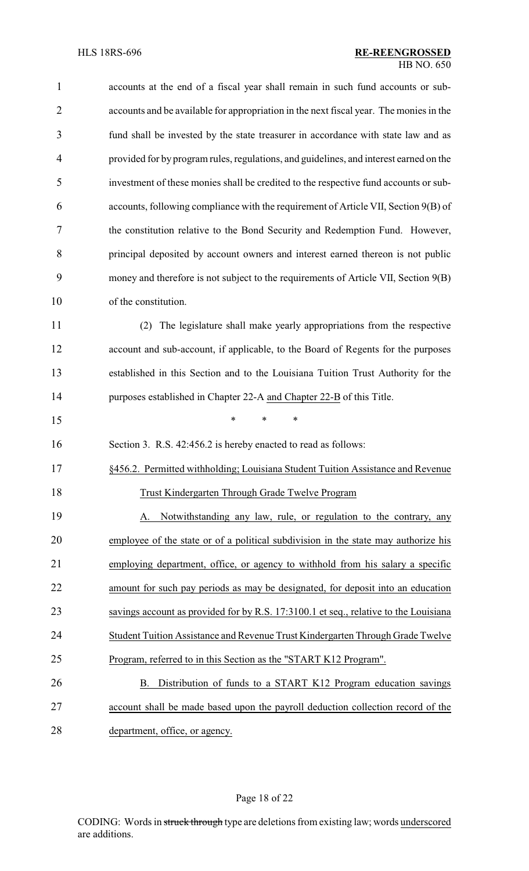| $\mathbf{1}$   | accounts at the end of a fiscal year shall remain in such fund accounts or sub-        |
|----------------|----------------------------------------------------------------------------------------|
| $\overline{2}$ | accounts and be available for appropriation in the next fiscal year. The monies in the |
| 3              | fund shall be invested by the state treasurer in accordance with state law and as      |
| 4              | provided for by program rules, regulations, and guidelines, and interest earned on the |
| 5              | investment of these monies shall be credited to the respective fund accounts or sub-   |
| 6              | accounts, following compliance with the requirement of Article VII, Section 9(B) of    |
| 7              | the constitution relative to the Bond Security and Redemption Fund. However,           |
| 8              | principal deposited by account owners and interest earned thereon is not public        |
| 9              | money and therefore is not subject to the requirements of Article VII, Section 9(B)    |
| 10             | of the constitution.                                                                   |
| 11             | The legislature shall make yearly appropriations from the respective<br>(2)            |
| 12             | account and sub-account, if applicable, to the Board of Regents for the purposes       |
| 13             | established in this Section and to the Louisiana Tuition Trust Authority for the       |
| 14             | purposes established in Chapter 22-A and Chapter 22-B of this Title.                   |
| 15             | $\ast$<br>*<br>*                                                                       |
| 16             | Section 3. R.S. 42:456.2 is hereby enacted to read as follows:                         |
| 17             | §456.2. Permitted withholding; Louisiana Student Tuition Assistance and Revenue        |
| 18             | <b>Trust Kindergarten Through Grade Twelve Program</b>                                 |
| 19             | Notwithstanding any law, rule, or regulation to the contrary, any<br>A.                |
| 20             | employee of the state or of a political subdivision in the state may authorize his     |
| 21             | employing department, office, or agency to withhold from his salary a specific         |
| 22             | amount for such pay periods as may be designated, for deposit into an education        |
| 23             | savings account as provided for by R.S. 17:3100.1 et seq., relative to the Louisiana   |
| 24             | Student Tuition Assistance and Revenue Trust Kindergarten Through Grade Twelve         |
| 25             | Program, referred to in this Section as the "START K12 Program".                       |
| 26             | Distribution of funds to a START K12 Program education savings<br>В.                   |
| 27             | account shall be made based upon the payroll deduction collection record of the        |
| 28             | department, office, or agency.                                                         |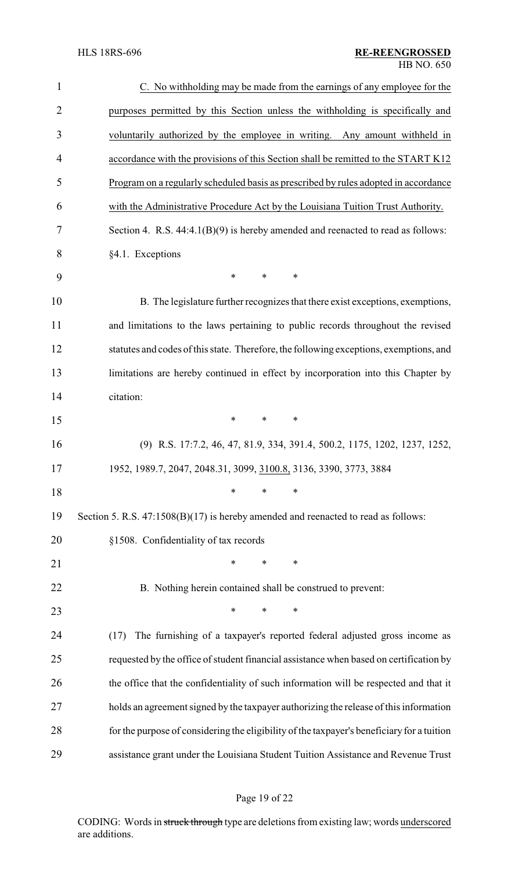| $\mathbf{1}$   | C. No withholding may be made from the earnings of any employee for the                    |  |  |
|----------------|--------------------------------------------------------------------------------------------|--|--|
| $\overline{2}$ | purposes permitted by this Section unless the withholding is specifically and              |  |  |
| 3              | voluntarily authorized by the employee in writing. Any amount withheld in                  |  |  |
| 4              | accordance with the provisions of this Section shall be remitted to the START K12          |  |  |
| 5              | Program on a regularly scheduled basis as prescribed by rules adopted in accordance        |  |  |
| 6              | with the Administrative Procedure Act by the Louisiana Tuition Trust Authority.            |  |  |
| 7              | Section 4. R.S. $44:4.1(B)(9)$ is hereby amended and reenacted to read as follows:         |  |  |
| 8              | §4.1. Exceptions                                                                           |  |  |
| 9              | $\ast$<br>*<br>*                                                                           |  |  |
| 10             | B. The legislature further recognizes that there exist exceptions, exemptions,             |  |  |
| 11             | and limitations to the laws pertaining to public records throughout the revised            |  |  |
| 12             | statutes and codes of this state. Therefore, the following exceptions, exemptions, and     |  |  |
| 13             | limitations are hereby continued in effect by incorporation into this Chapter by           |  |  |
| 14             | citation:                                                                                  |  |  |
| 15             | $\ast$<br>$\ast$<br>$\ast$                                                                 |  |  |
| 16             | (9) R.S. 17:7.2, 46, 47, 81.9, 334, 391.4, 500.2, 1175, 1202, 1237, 1252,                  |  |  |
| 17             | 1952, 1989.7, 2047, 2048.31, 3099, 3100.8, 3136, 3390, 3773, 3884                          |  |  |
| 18             | $\ast$<br>*<br>∗                                                                           |  |  |
| 19             | Section 5. R.S. 47:1508(B)(17) is hereby amended and reenacted to read as follows:         |  |  |
| 20             | §1508. Confidentiality of tax records                                                      |  |  |
| 21             | $\ast$<br>∗<br>*                                                                           |  |  |
| 22             | B. Nothing herein contained shall be construed to prevent:                                 |  |  |
| 23             | *<br>$\ast$<br>∗                                                                           |  |  |
| 24             | The furnishing of a taxpayer's reported federal adjusted gross income as<br>(17)           |  |  |
| 25             | requested by the office of student financial assistance when based on certification by     |  |  |
| 26             | the office that the confidentiality of such information will be respected and that it      |  |  |
| 27             | holds an agreement signed by the taxpayer authorizing the release of this information      |  |  |
| 28             | for the purpose of considering the eligibility of the taxpayer's beneficiary for a tuition |  |  |
| 29             | assistance grant under the Louisiana Student Tuition Assistance and Revenue Trust          |  |  |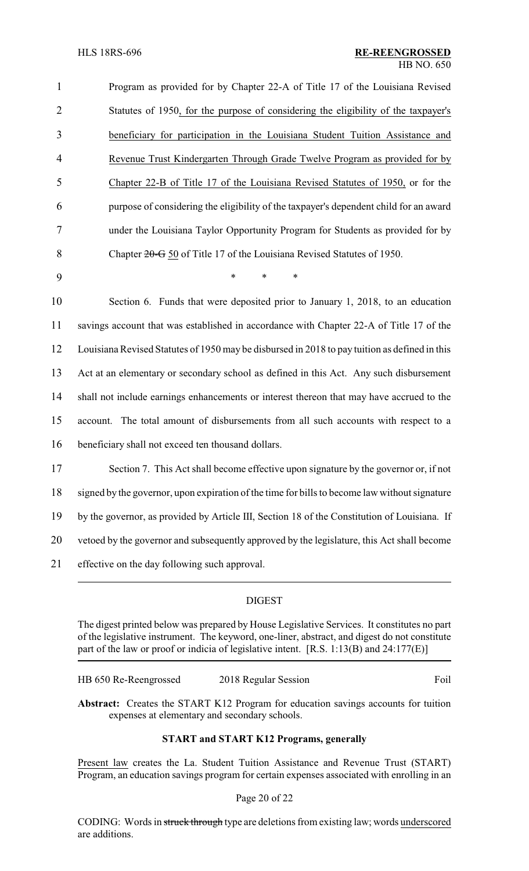| 1              | Program as provided for by Chapter 22-A of Title 17 of the Louisiana Revised                  |
|----------------|-----------------------------------------------------------------------------------------------|
| $\overline{2}$ | Statutes of 1950, for the purpose of considering the eligibility of the taxpayer's            |
| 3              | beneficiary for participation in the Louisiana Student Tuition Assistance and                 |
| $\overline{4}$ | Revenue Trust Kindergarten Through Grade Twelve Program as provided for by                    |
| 5              | Chapter 22-B of Title 17 of the Louisiana Revised Statutes of 1950, or for the                |
| 6              | purpose of considering the eligibility of the taxpayer's dependent child for an award         |
| 7              | under the Louisiana Taylor Opportunity Program for Students as provided for by                |
| 8              | Chapter 20-G 50 of Title 17 of the Louisiana Revised Statutes of 1950.                        |
| 9              | *<br>$\ast$<br>$\ast$                                                                         |
| 10             | Section 6. Funds that were deposited prior to January 1, 2018, to an education                |
| 11             | savings account that was established in accordance with Chapter 22-A of Title 17 of the       |
| 12             | Louisiana Revised Statutes of 1950 may be disbursed in 2018 to pay tuition as defined in this |
| 13             | Act at an elementary or secondary school as defined in this Act. Any such disbursement        |
| 14             | shall not include earnings enhancements or interest thereon that may have accrued to the      |
| 15             | The total amount of disbursements from all such accounts with respect to a<br>account.        |
| 16             | beneficiary shall not exceed ten thousand dollars.                                            |
| 17             | Section 7. This Act shall become effective upon signature by the governor or, if not          |
| 18             | signed by the governor, upon expiration of the time for bills to become law without signature |
| 19             | by the governor, as provided by Article III, Section 18 of the Constitution of Louisiana. If  |
| 20             | vetoed by the governor and subsequently approved by the legislature, this Act shall become    |
| 21             | effective on the day following such approval.                                                 |
|                |                                                                                               |

# DIGEST

The digest printed below was prepared by House Legislative Services. It constitutes no part of the legislative instrument. The keyword, one-liner, abstract, and digest do not constitute part of the law or proof or indicia of legislative intent. [R.S. 1:13(B) and 24:177(E)]

| HB 650 Re-Reengrossed | 2018 Regular Session | Foil |
|-----------------------|----------------------|------|
|                       |                      |      |

**Abstract:** Creates the START K12 Program for education savings accounts for tuition expenses at elementary and secondary schools.

# **START and START K12 Programs, generally**

Present law creates the La. Student Tuition Assistance and Revenue Trust (START) Program, an education savings program for certain expenses associated with enrolling in an

#### Page 20 of 22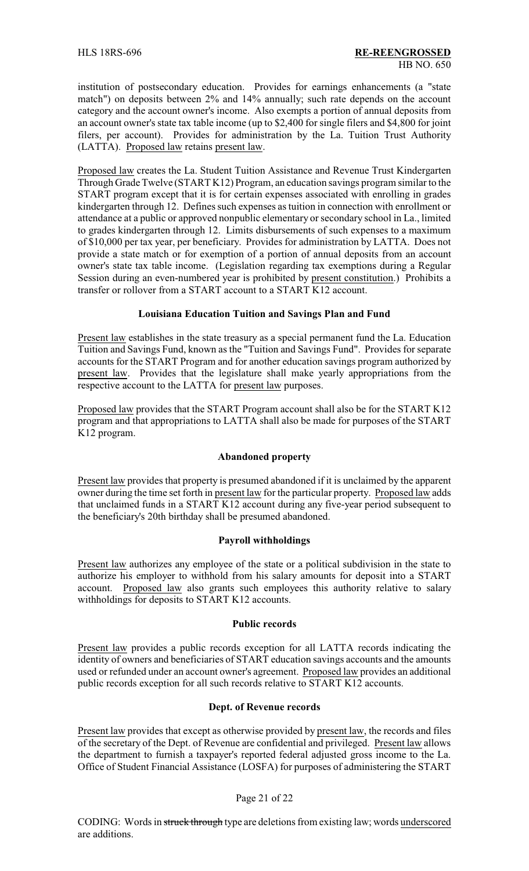institution of postsecondary education. Provides for earnings enhancements (a "state match") on deposits between 2% and 14% annually; such rate depends on the account category and the account owner's income. Also exempts a portion of annual deposits from an account owner's state tax table income (up to \$2,400 for single filers and \$4,800 for joint filers, per account). Provides for administration by the La. Tuition Trust Authority (LATTA). Proposed law retains present law.

Proposed law creates the La. Student Tuition Assistance and Revenue Trust Kindergarten Through Grade Twelve (START K12) Program, an education savings program similar to the START program except that it is for certain expenses associated with enrolling in grades kindergarten through 12. Defines such expenses as tuition in connection with enrollment or attendance at a public or approved nonpublic elementary or secondary school in La., limited to grades kindergarten through 12. Limits disbursements of such expenses to a maximum of \$10,000 per tax year, per beneficiary. Provides for administration by LATTA. Does not provide a state match or for exemption of a portion of annual deposits from an account owner's state tax table income. (Legislation regarding tax exemptions during a Regular Session during an even-numbered year is prohibited by present constitution.) Prohibits a transfer or rollover from a START account to a START K12 account.

### **Louisiana Education Tuition and Savings Plan and Fund**

Present law establishes in the state treasury as a special permanent fund the La. Education Tuition and Savings Fund, known as the "Tuition and Savings Fund". Provides for separate accounts for the START Program and for another education savings program authorized by present law. Provides that the legislature shall make yearly appropriations from the respective account to the LATTA for present law purposes.

Proposed law provides that the START Program account shall also be for the START K12 program and that appropriations to LATTA shall also be made for purposes of the START K12 program.

### **Abandoned property**

Present law provides that property is presumed abandoned if it is unclaimed by the apparent owner during the time set forth in present law for the particular property. Proposed law adds that unclaimed funds in a START K12 account during any five-year period subsequent to the beneficiary's 20th birthday shall be presumed abandoned.

# **Payroll withholdings**

Present law authorizes any employee of the state or a political subdivision in the state to authorize his employer to withhold from his salary amounts for deposit into a START account. Proposed law also grants such employees this authority relative to salary withholdings for deposits to START K12 accounts.

### **Public records**

Present law provides a public records exception for all LATTA records indicating the identity of owners and beneficiaries of START education savings accounts and the amounts used or refunded under an account owner's agreement. Proposed law provides an additional public records exception for all such records relative to START K12 accounts.

### **Dept. of Revenue records**

Present law provides that except as otherwise provided by present law, the records and files of the secretary of the Dept. of Revenue are confidential and privileged. Present law allows the department to furnish a taxpayer's reported federal adjusted gross income to the La. Office of Student Financial Assistance (LOSFA) for purposes of administering the START

### Page 21 of 22